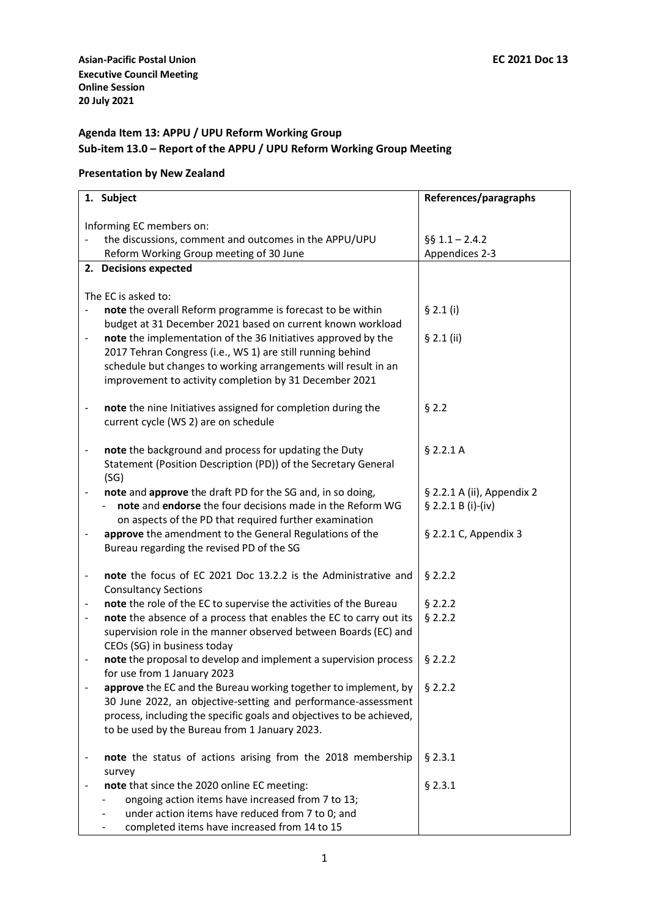# **Agenda Item 13: APPU / UPU Reform Working Group Sub-item 13.0 – Report of the APPU / UPU Reform Working Group Meeting**

## **Presentation by New Zealand**

| 1. Subject                                                                        |                                                                      | References/paragraphs      |  |
|-----------------------------------------------------------------------------------|----------------------------------------------------------------------|----------------------------|--|
| Informing EC members on:                                                          |                                                                      |                            |  |
|                                                                                   | the discussions, comment and outcomes in the APPU/UPU                | $§$ § 1.1 - 2.4.2          |  |
| Reform Working Group meeting of 30 June                                           |                                                                      | Appendices 2-3             |  |
| 2. Decisions expected                                                             |                                                                      |                            |  |
|                                                                                   |                                                                      |                            |  |
| The EC is asked to:                                                               |                                                                      |                            |  |
|                                                                                   | note the overall Reform programme is forecast to be within           | \$2.1(i)                   |  |
|                                                                                   | budget at 31 December 2021 based on current known workload           |                            |  |
| $\overline{\phantom{0}}$                                                          | note the implementation of the 36 Initiatives approved by the        | § 2.1 (ii)                 |  |
|                                                                                   | 2017 Tehran Congress (i.e., WS 1) are still running behind           |                            |  |
|                                                                                   | schedule but changes to working arrangements will result in an       |                            |  |
|                                                                                   | improvement to activity completion by 31 December 2021               |                            |  |
|                                                                                   |                                                                      |                            |  |
| $\overline{\phantom{0}}$                                                          | note the nine Initiatives assigned for completion during the         | § 2.2                      |  |
| current cycle (WS 2) are on schedule                                              |                                                                      |                            |  |
|                                                                                   |                                                                      |                            |  |
| note the background and process for updating the Duty<br>$\overline{\phantom{0}}$ |                                                                      | $§$ 2.2.1 A                |  |
|                                                                                   | Statement (Position Description (PD)) of the Secretary General       |                            |  |
| (SG)                                                                              |                                                                      |                            |  |
|                                                                                   | note and approve the draft PD for the SG and, in so doing,           | § 2.2.1 A (ii), Appendix 2 |  |
|                                                                                   | note and endorse the four decisions made in the Reform WG            | § 2.2.1 B (i)-(iv)         |  |
|                                                                                   | on aspects of the PD that required further examination               |                            |  |
|                                                                                   | approve the amendment to the General Regulations of the              | § 2.2.1 C, Appendix 3      |  |
| Bureau regarding the revised PD of the SG                                         |                                                                      |                            |  |
|                                                                                   |                                                                      |                            |  |
| $\qquad \qquad \blacksquare$                                                      | note the focus of EC 2021 Doc 13.2.2 is the Administrative and       | \$2.2.2                    |  |
| <b>Consultancy Sections</b>                                                       |                                                                      |                            |  |
|                                                                                   | note the role of the EC to supervise the activities of the Bureau    | § 2.2.2                    |  |
| -                                                                                 | note the absence of a process that enables the EC to carry out its   | § 2.2.2                    |  |
|                                                                                   | supervision role in the manner observed between Boards (EC) and      |                            |  |
| CEOs (SG) in business today                                                       |                                                                      |                            |  |
| $\overline{\phantom{0}}$                                                          | note the proposal to develop and implement a supervision process     | \$2.2.2                    |  |
| for use from 1 January 2023                                                       |                                                                      |                            |  |
|                                                                                   | approve the EC and the Bureau working together to implement, by      | \$2.2.2                    |  |
|                                                                                   | 30 June 2022, an objective-setting and performance-assessment        |                            |  |
|                                                                                   | process, including the specific goals and objectives to be achieved, |                            |  |
| to be used by the Bureau from 1 January 2023.                                     |                                                                      |                            |  |
|                                                                                   | note the status of actions arising from the 2018 membership          | § 2.3.1                    |  |
| -                                                                                 |                                                                      |                            |  |
| survey<br>note that since the 2020 online EC meeting:                             |                                                                      | § 2.3.1                    |  |
|                                                                                   | ongoing action items have increased from 7 to 13;                    |                            |  |
|                                                                                   | under action items have reduced from 7 to 0; and                     |                            |  |
| completed items have increased from 14 to 15                                      |                                                                      |                            |  |
|                                                                                   |                                                                      |                            |  |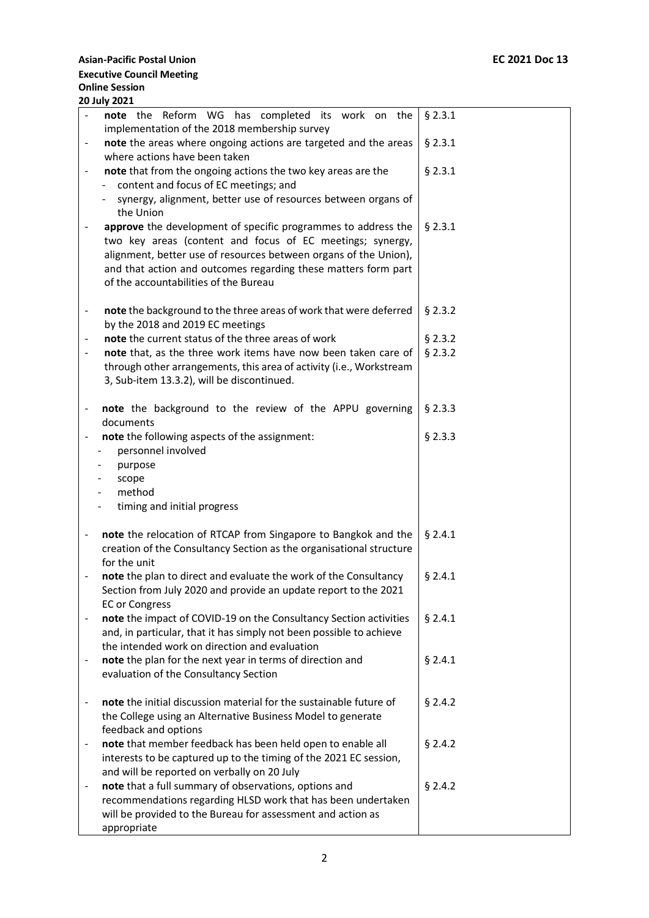|                              | <b>20 July 2021</b>                                                 |           |
|------------------------------|---------------------------------------------------------------------|-----------|
|                              | note the Reform WG has completed its work on the                    | $§$ 2.3.1 |
|                              | implementation of the 2018 membership survey                        |           |
|                              | note the areas where ongoing actions are targeted and the areas     | § 2.3.1   |
|                              | where actions have been taken                                       |           |
|                              | note that from the ongoing actions the two key areas are the        | $§$ 2.3.1 |
|                              | content and focus of EC meetings; and                               |           |
|                              | synergy, alignment, better use of resources between organs of       |           |
|                              | the Union                                                           |           |
|                              | approve the development of specific programmes to address the       | $§$ 2.3.1 |
|                              | two key areas (content and focus of EC meetings; synergy,           |           |
|                              | alignment, better use of resources between organs of the Union),    |           |
|                              | and that action and outcomes regarding these matters form part      |           |
|                              | of the accountabilities of the Bureau                               |           |
|                              | note the background to the three areas of work that were deferred   | $§$ 2.3.2 |
| $\blacksquare$               | by the 2018 and 2019 EC meetings                                    |           |
|                              | note the current status of the three areas of work                  | § 2.3.2   |
|                              | note that, as the three work items have now been taken care of      | § 2.3.2   |
|                              | through other arrangements, this area of activity (i.e., Workstream |           |
|                              | 3, Sub-item 13.3.2), will be discontinued.                          |           |
|                              |                                                                     |           |
|                              | note the background to the review of the APPU governing             | $§$ 2.3.3 |
|                              | documents                                                           |           |
|                              | note the following aspects of the assignment:                       | $§$ 2.3.3 |
|                              | personnel involved                                                  |           |
|                              | purpose                                                             |           |
|                              | scope                                                               |           |
|                              | method                                                              |           |
|                              | timing and initial progress                                         |           |
|                              |                                                                     |           |
| $\qquad \qquad \blacksquare$ | note the relocation of RTCAP from Singapore to Bangkok and the      | § 2.4.1   |
|                              | creation of the Consultancy Section as the organisational structure |           |
|                              | for the unit                                                        |           |
|                              | note the plan to direct and evaluate the work of the Consultancy    | $§$ 2.4.1 |
|                              | Section from July 2020 and provide an update report to the 2021     |           |
|                              | <b>EC or Congress</b>                                               |           |
| $\qquad \qquad \blacksquare$ | note the impact of COVID-19 on the Consultancy Section activities   | $§$ 2.4.1 |
|                              | and, in particular, that it has simply not been possible to achieve |           |
|                              | the intended work on direction and evaluation                       |           |
|                              | note the plan for the next year in terms of direction and           | § 2.4.1   |
|                              | evaluation of the Consultancy Section                               |           |
| $\qquad \qquad \blacksquare$ | note the initial discussion material for the sustainable future of  | \$2.4.2   |
|                              | the College using an Alternative Business Model to generate         |           |
|                              | feedback and options                                                |           |
|                              | note that member feedback has been held open to enable all          | § 2.4.2   |
|                              | interests to be captured up to the timing of the 2021 EC session,   |           |
|                              | and will be reported on verbally on 20 July                         |           |
|                              | note that a full summary of observations, options and               | $§$ 2.4.2 |
|                              | recommendations regarding HLSD work that has been undertaken        |           |
|                              | will be provided to the Bureau for assessment and action as         |           |
|                              | appropriate                                                         |           |
|                              |                                                                     |           |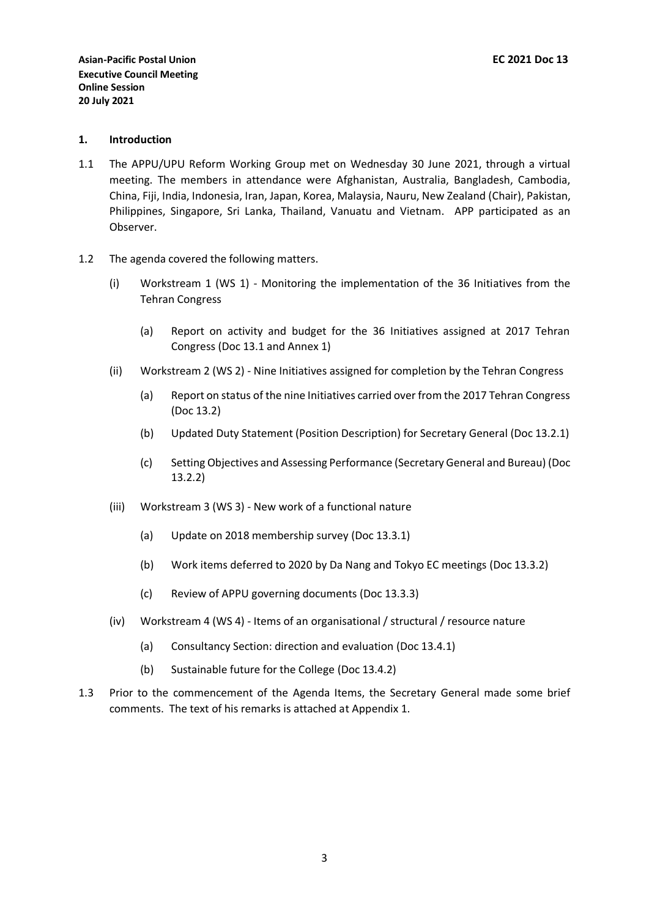### **1. Introduction**

- 1.1 The APPU/UPU Reform Working Group met on Wednesday 30 June 2021, through a virtual meeting. The members in attendance were Afghanistan, Australia, Bangladesh, Cambodia, China, Fiji, India, Indonesia, Iran, Japan, Korea, Malaysia, Nauru, New Zealand (Chair), Pakistan, Philippines, Singapore, Sri Lanka, Thailand, Vanuatu and Vietnam. APP participated as an Observer.
- 1.2 The agenda covered the following matters.
	- (i) Workstream 1 (WS 1) Monitoring the implementation of the 36 Initiatives from the Tehran Congress
		- (a) Report on activity and budget for the 36 Initiatives assigned at 2017 Tehran Congress (Doc 13.1 and Annex 1)
	- (ii) Workstream 2 (WS 2) Nine Initiatives assigned for completion by the Tehran Congress
		- (a) Report on status of the nine Initiatives carried over from the 2017 Tehran Congress (Doc 13.2)
		- (b) Updated Duty Statement (Position Description) for Secretary General (Doc 13.2.1)
		- (c) Setting Objectives and Assessing Performance (Secretary General and Bureau) (Doc 13.2.2)
	- (iii) Workstream 3 (WS 3) New work of a functional nature
		- (a) Update on 2018 membership survey (Doc 13.3.1)
		- (b) Work items deferred to 2020 by Da Nang and Tokyo EC meetings (Doc 13.3.2)
		- (c) Review of APPU governing documents (Doc 13.3.3)
	- (iv) Workstream 4 (WS 4) Items of an organisational / structural / resource nature
		- (a) Consultancy Section: direction and evaluation (Doc 13.4.1)
		- (b) Sustainable future for the College (Doc 13.4.2)
- 1.3 Prior to the commencement of the Agenda Items, the Secretary General made some brief comments. The text of his remarks is attached at Appendix 1.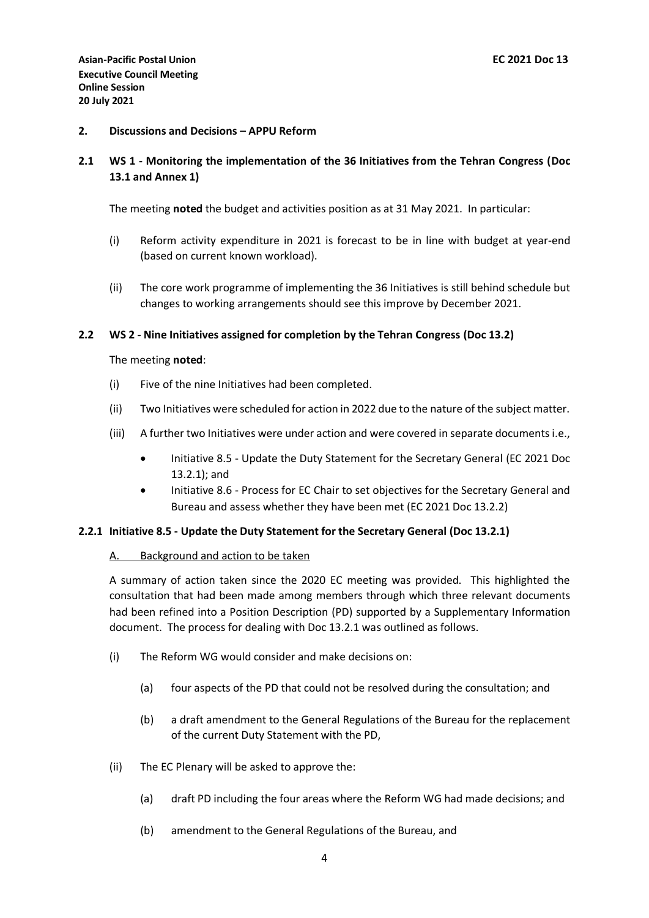## **2. Discussions and Decisions – APPU Reform**

# **2.1 WS 1 - Monitoring the implementation of the 36 Initiatives from the Tehran Congress (Doc 13.1 and Annex 1)**

The meeting **noted** the budget and activities position as at 31 May 2021. In particular:

- (i) Reform activity expenditure in 2021 is forecast to be in line with budget at year-end (based on current known workload).
- (ii) The core work programme of implementing the 36 Initiatives is still behind schedule but changes to working arrangements should see this improve by December 2021.

## **2.2 WS 2 - Nine Initiatives assigned for completion by the Tehran Congress (Doc 13.2)**

The meeting **noted**:

- (i) Five of the nine Initiatives had been completed.
- (ii) Two Initiatives were scheduled for action in 2022 due to the nature of the subject matter.
- (iii) A further two Initiatives were under action and were covered in separate documents i.e.,
	- Initiative 8.5 Update the Duty Statement for the Secretary General (EC 2021 Doc 13.2.1); and
	- Initiative 8.6 Process for EC Chair to set objectives for the Secretary General and Bureau and assess whether they have been met (EC 2021 Doc 13.2.2)

## **2.2.1 Initiative 8.5 - Update the Duty Statement for the Secretary General (Doc 13.2.1)**

## A. Background and action to be taken

A summary of action taken since the 2020 EC meeting was provided. This highlighted the consultation that had been made among members through which three relevant documents had been refined into a Position Description (PD) supported by a Supplementary Information document. The process for dealing with Doc 13.2.1 was outlined as follows.

- (i) The Reform WG would consider and make decisions on:
	- (a) four aspects of the PD that could not be resolved during the consultation; and
	- (b) a draft amendment to the General Regulations of the Bureau for the replacement of the current Duty Statement with the PD,
- (ii) The EC Plenary will be asked to approve the:
	- (a) draft PD including the four areas where the Reform WG had made decisions; and
	- (b) amendment to the General Regulations of the Bureau, and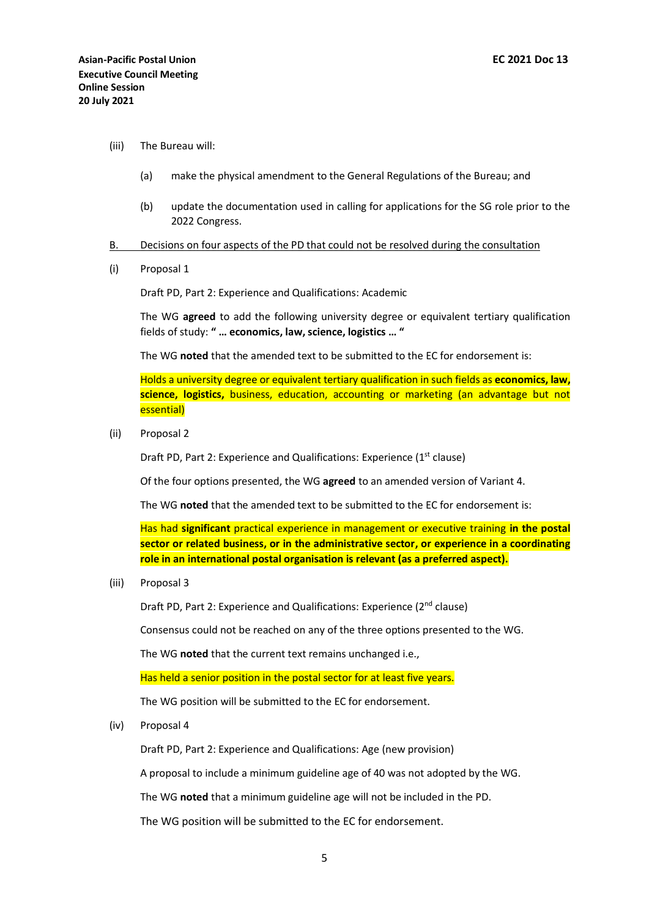- (iii) The Bureau will:
	- (a) make the physical amendment to the General Regulations of the Bureau; and
	- (b) update the documentation used in calling for applications for the SG role prior to the 2022 Congress.
- B. Decisions on four aspects of the PD that could not be resolved during the consultation
- (i) Proposal 1

Draft PD, Part 2: Experience and Qualifications: Academic

The WG **agreed** to add the following university degree or equivalent tertiary qualification fields of study: **" … economics, law, science, logistics … "**

The WG **noted** that the amended text to be submitted to the EC for endorsement is:

Holds a university degree or equivalent tertiary qualification in such fields as **economics, law, science, logistics,** business, education, accounting or marketing (an advantage but not essential)

(ii) Proposal 2

Draft PD, Part 2: Experience and Qualifications: Experience  $(1<sup>st</sup>$  clause)

Of the four options presented, the WG **agreed** to an amended version of Variant 4.

The WG **noted** that the amended text to be submitted to the EC for endorsement is:

Has had **significant** practical experience in management or executive training **in the postal sector or related business, or in the administrative sector, or experience in a coordinating role in an international postal organisation is relevant (as a preferred aspect).**

(iii) Proposal 3

Draft PD, Part 2: Experience and Qualifications: Experience (2nd clause)

Consensus could not be reached on any of the three options presented to the WG.

The WG **noted** that the current text remains unchanged i.e.,

Has held a senior position in the postal sector for at least five years.

The WG position will be submitted to the EC for endorsement.

(iv) Proposal 4

Draft PD, Part 2: Experience and Qualifications: Age (new provision)

A proposal to include a minimum guideline age of 40 was not adopted by the WG.

The WG **noted** that a minimum guideline age will not be included in the PD.

The WG position will be submitted to the EC for endorsement.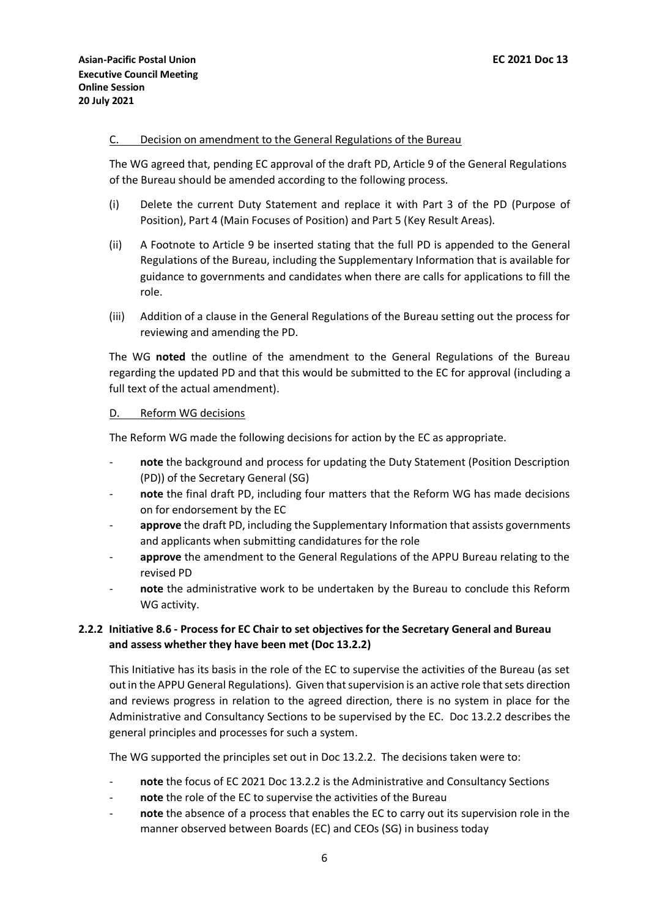## C. Decision on amendment to the General Regulations of the Bureau

The WG agreed that, pending EC approval of the draft PD, Article 9 of the General Regulations of the Bureau should be amended according to the following process.

- (i) Delete the current Duty Statement and replace it with Part 3 of the PD (Purpose of Position), Part 4 (Main Focuses of Position) and Part 5 (Key Result Areas).
- (ii) A Footnote to Article 9 be inserted stating that the full PD is appended to the General Regulations of the Bureau, including the Supplementary Information that is available for guidance to governments and candidates when there are calls for applications to fill the role.
- (iii) Addition of a clause in the General Regulations of the Bureau setting out the process for reviewing and amending the PD.

The WG **noted** the outline of the amendment to the General Regulations of the Bureau regarding the updated PD and that this would be submitted to the EC for approval (including a full text of the actual amendment).

### D. Reform WG decisions

The Reform WG made the following decisions for action by the EC as appropriate.

- note the background and process for updating the Duty Statement (Position Description (PD)) of the Secretary General (SG)
- note the final draft PD, including four matters that the Reform WG has made decisions on for endorsement by the EC
- approve the draft PD, including the Supplementary Information that assists governments and applicants when submitting candidatures for the role
- approve the amendment to the General Regulations of the APPU Bureau relating to the revised PD
- note the administrative work to be undertaken by the Bureau to conclude this Reform WG activity.

# **2.2.2 Initiative 8.6 - Process for EC Chair to set objectives for the Secretary General and Bureau and assess whether they have been met (Doc 13.2.2)**

This Initiative has its basis in the role of the EC to supervise the activities of the Bureau (as set out in the APPU General Regulations). Given that supervision is an active role that sets direction and reviews progress in relation to the agreed direction, there is no system in place for the Administrative and Consultancy Sections to be supervised by the EC. Doc 13.2.2 describes the general principles and processes for such a system.

The WG supported the principles set out in Doc 13.2.2. The decisions taken were to:

- note the focus of EC 2021 Doc 13.2.2 is the Administrative and Consultancy Sections
- note the role of the EC to supervise the activities of the Bureau
- note the absence of a process that enables the EC to carry out its supervision role in the manner observed between Boards (EC) and CEOs (SG) in business today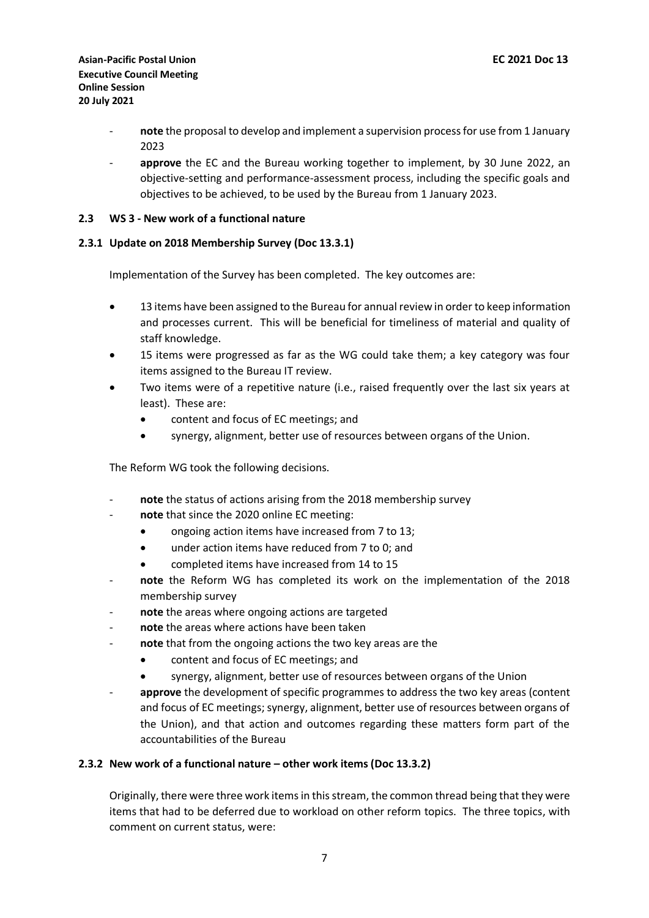- **note** the proposal to develop and implement a supervision process for use from 1 January 2023
- approve the EC and the Bureau working together to implement, by 30 June 2022, an objective-setting and performance-assessment process, including the specific goals and objectives to be achieved, to be used by the Bureau from 1 January 2023.

## **2.3 WS 3 - New work of a functional nature**

## **2.3.1 Update on 2018 Membership Survey (Doc 13.3.1)**

Implementation of the Survey has been completed. The key outcomes are:

- 13 items have been assigned to the Bureau for annual review in order to keep information and processes current. This will be beneficial for timeliness of material and quality of staff knowledge.
- 15 items were progressed as far as the WG could take them; a key category was four items assigned to the Bureau IT review.
- Two items were of a repetitive nature (i.e., raised frequently over the last six years at least). These are:
	- content and focus of EC meetings; and
	- synergy, alignment, better use of resources between organs of the Union.

The Reform WG took the following decisions.

- note the status of actions arising from the 2018 membership survey
- note that since the 2020 online EC meeting:
	- ongoing action items have increased from 7 to 13;
	- under action items have reduced from 7 to 0; and
	- completed items have increased from 14 to 15
- note the Reform WG has completed its work on the implementation of the 2018 membership survey
- note the areas where ongoing actions are targeted
- note the areas where actions have been taken
- note that from the ongoing actions the two key areas are the
	- content and focus of EC meetings; and
	- synergy, alignment, better use of resources between organs of the Union
- approve the development of specific programmes to address the two key areas (content and focus of EC meetings; synergy, alignment, better use of resources between organs of the Union), and that action and outcomes regarding these matters form part of the accountabilities of the Bureau

## **2.3.2 New work of a functional nature – other work items (Doc 13.3.2)**

Originally, there were three work items in this stream, the common thread being that they were items that had to be deferred due to workload on other reform topics. The three topics, with comment on current status, were: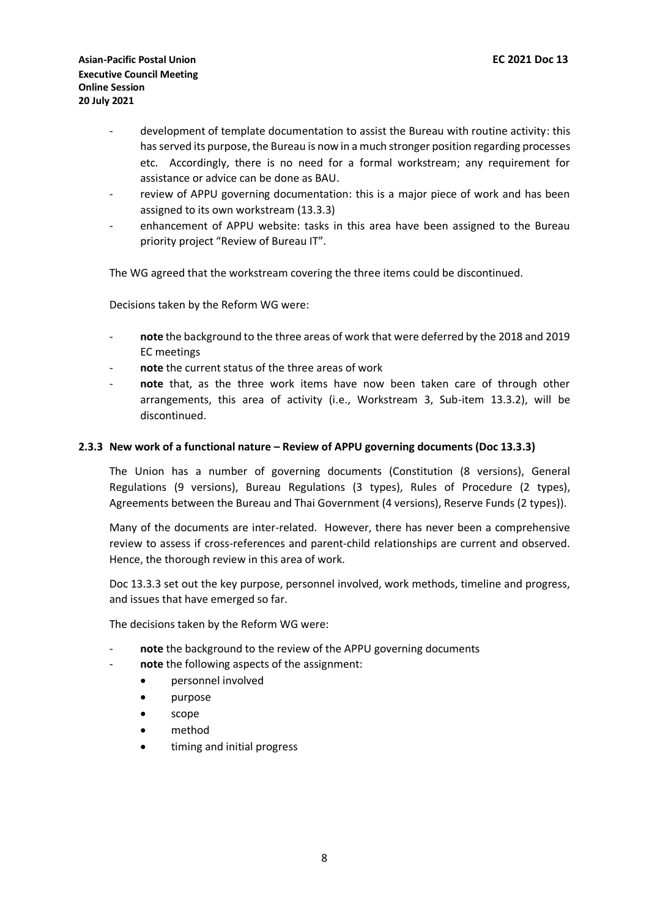- development of template documentation to assist the Bureau with routine activity: this has served its purpose, the Bureau is now in a much stronger position regarding processes etc. Accordingly, there is no need for a formal workstream; any requirement for assistance or advice can be done as BAU.
- review of APPU governing documentation: this is a major piece of work and has been assigned to its own workstream (13.3.3)
- enhancement of APPU website: tasks in this area have been assigned to the Bureau priority project "Review of Bureau IT".

The WG agreed that the workstream covering the three items could be discontinued.

Decisions taken by the Reform WG were:

- **note** the background to the three areas of work that were deferred by the 2018 and 2019 EC meetings
- note the current status of the three areas of work
- note that, as the three work items have now been taken care of through other arrangements, this area of activity (i.e., Workstream 3, Sub-item 13.3.2), will be discontinued.

### **2.3.3 New work of a functional nature – Review of APPU governing documents (Doc 13.3.3)**

The Union has a number of governing documents (Constitution (8 versions), General Regulations (9 versions), Bureau Regulations (3 types), Rules of Procedure (2 types), Agreements between the Bureau and Thai Government (4 versions), Reserve Funds (2 types)).

Many of the documents are inter-related. However, there has never been a comprehensive review to assess if cross-references and parent-child relationships are current and observed. Hence, the thorough review in this area of work.

Doc 13.3.3 set out the key purpose, personnel involved, work methods, timeline and progress, and issues that have emerged so far.

The decisions taken by the Reform WG were:

- note the background to the review of the APPU governing documents
- note the following aspects of the assignment:
	- personnel involved
	- purpose
	- scope
	- method
	- timing and initial progress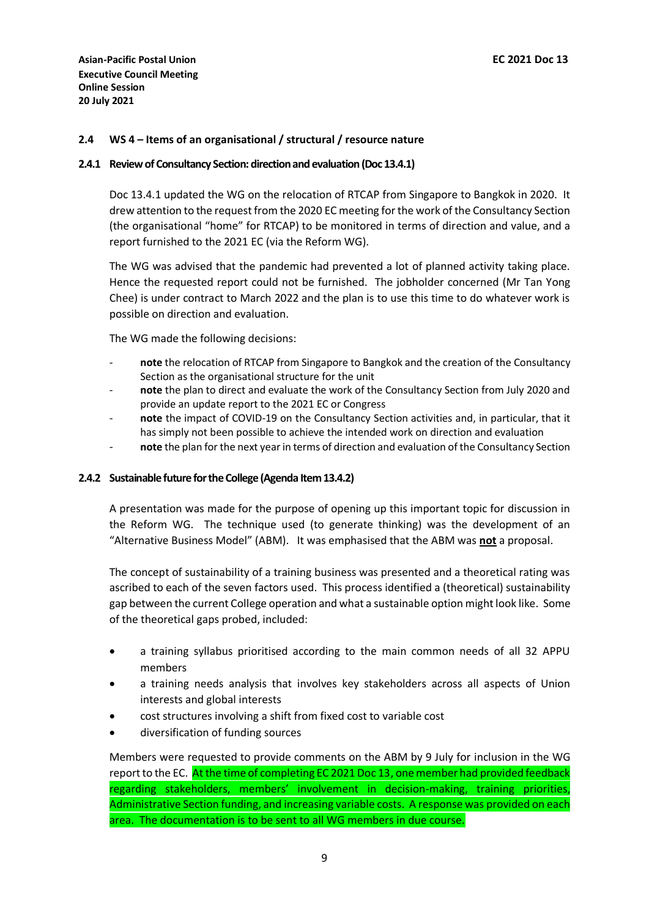## **2.4 WS 4 – Items of an organisational / structural / resource nature**

#### **2.4.1 Review of Consultancy Section: direction and evaluation (Doc 13.4.1)**

Doc 13.4.1 updated the WG on the relocation of RTCAP from Singapore to Bangkok in 2020. It drew attention to the request from the 2020 EC meeting for the work of the Consultancy Section (the organisational "home" for RTCAP) to be monitored in terms of direction and value, and a report furnished to the 2021 EC (via the Reform WG).

The WG was advised that the pandemic had prevented a lot of planned activity taking place. Hence the requested report could not be furnished. The jobholder concerned (Mr Tan Yong Chee) is under contract to March 2022 and the plan is to use this time to do whatever work is possible on direction and evaluation.

The WG made the following decisions:

- note the relocation of RTCAP from Singapore to Bangkok and the creation of the Consultancy Section as the organisational structure for the unit
- note the plan to direct and evaluate the work of the Consultancy Section from July 2020 and provide an update report to the 2021 EC or Congress
- **note** the impact of COVID-19 on the Consultancy Section activities and, in particular, that it has simply not been possible to achieve the intended work on direction and evaluation
- note the plan for the next year in terms of direction and evaluation of the Consultancy Section

### **2.4.2 Sustainable future for the College (Agenda Item 13.4.2)**

A presentation was made for the purpose of opening up this important topic for discussion in the Reform WG. The technique used (to generate thinking) was the development of an "Alternative Business Model" (ABM). It was emphasised that the ABM was **not** a proposal.

The concept of sustainability of a training business was presented and a theoretical rating was ascribed to each of the seven factors used. This process identified a (theoretical) sustainability gap between the current College operation and what a sustainable option might look like. Some of the theoretical gaps probed, included:

- a training syllabus prioritised according to the main common needs of all 32 APPU members
- a training needs analysis that involves key stakeholders across all aspects of Union interests and global interests
- cost structures involving a shift from fixed cost to variable cost
- diversification of funding sources

Members were requested to provide comments on the ABM by 9 July for inclusion in the WG report to the EC. At the time of completing EC 2021 Doc 13, one member had provided feedback regarding stakeholders, members' involvement in decision-making, training priorities, Administrative Section funding, and increasing variable costs. A response was provided on each area. The documentation is to be sent to all WG members in due course.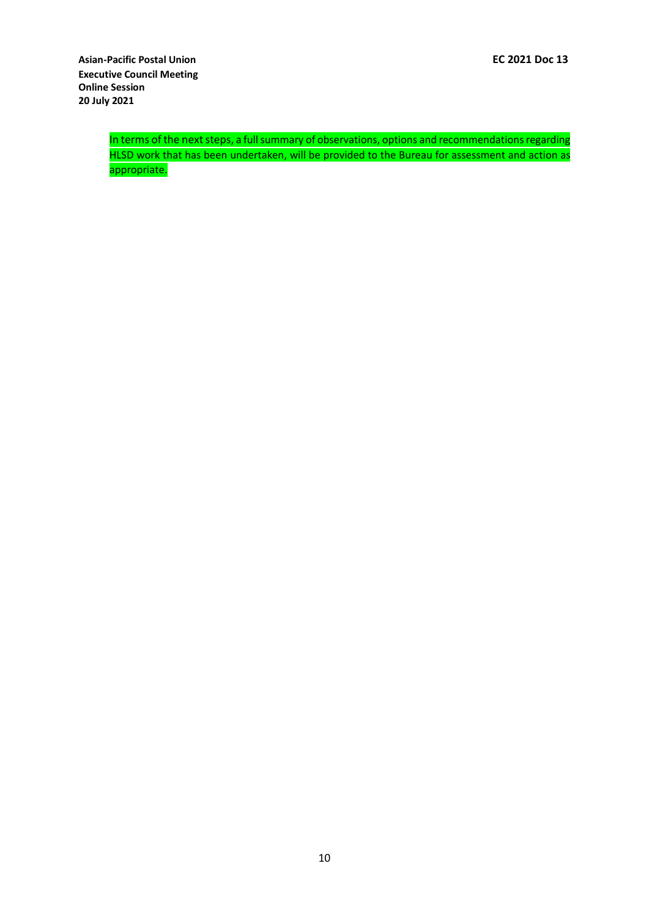In terms of the next steps, a full summary of observations, options and recommendations regarding HLSD work that has been undertaken, will be provided to the Bureau for assessment and action as appropriate.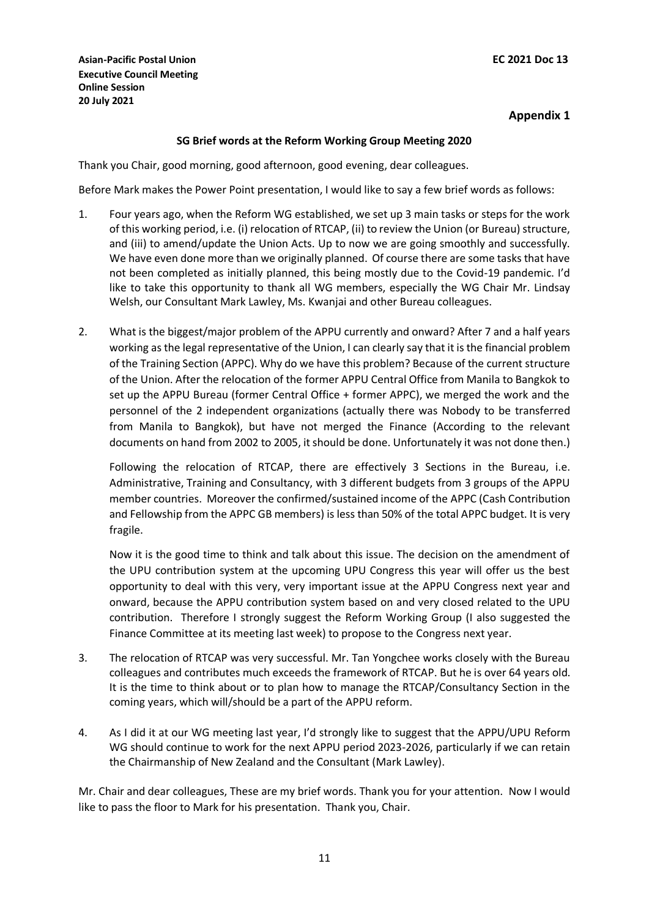## **SG Brief words at the Reform Working Group Meeting 2020**

Thank you Chair, good morning, good afternoon, good evening, dear colleagues.

Before Mark makes the Power Point presentation, I would like to say a few brief words as follows:

- 1. Four years ago, when the Reform WG established, we set up 3 main tasks or steps for the work of this working period, i.e. (i) relocation of RTCAP, (ii) to review the Union (or Bureau) structure, and (iii) to amend/update the Union Acts. Up to now we are going smoothly and successfully. We have even done more than we originally planned. Of course there are some tasks that have not been completed as initially planned, this being mostly due to the Covid-19 pandemic. I'd like to take this opportunity to thank all WG members, especially the WG Chair Mr. Lindsay Welsh, our Consultant Mark Lawley, Ms. Kwanjai and other Bureau colleagues.
- 2. What is the biggest/major problem of the APPU currently and onward? After 7 and a half years working as the legal representative of the Union, I can clearly say that it is the financial problem of the Training Section (APPC). Why do we have this problem? Because of the current structure of the Union. After the relocation of the former APPU Central Office from Manila to Bangkok to set up the APPU Bureau (former Central Office + former APPC), we merged the work and the personnel of the 2 independent organizations (actually there was Nobody to be transferred from Manila to Bangkok), but have not merged the Finance (According to the relevant documents on hand from 2002 to 2005, it should be done. Unfortunately it was not done then.)

Following the relocation of RTCAP, there are effectively 3 Sections in the Bureau, i.e. Administrative, Training and Consultancy, with 3 different budgets from 3 groups of the APPU member countries. Moreover the confirmed/sustained income of the APPC (Cash Contribution and Fellowship from the APPC GB members) is less than 50% of the total APPC budget. It is very fragile.

Now it is the good time to think and talk about this issue. The decision on the amendment of the UPU contribution system at the upcoming UPU Congress this year will offer us the best opportunity to deal with this very, very important issue at the APPU Congress next year and onward, because the APPU contribution system based on and very closed related to the UPU contribution. Therefore I strongly suggest the Reform Working Group (I also suggested the Finance Committee at its meeting last week) to propose to the Congress next year.

- 3. The relocation of RTCAP was very successful. Mr. Tan Yongchee works closely with the Bureau colleagues and contributes much exceeds the framework of RTCAP. But he is over 64 years old. It is the time to think about or to plan how to manage the RTCAP/Consultancy Section in the coming years, which will/should be a part of the APPU reform.
- 4. As I did it at our WG meeting last year, I'd strongly like to suggest that the APPU/UPU Reform WG should continue to work for the next APPU period 2023-2026, particularly if we can retain the Chairmanship of New Zealand and the Consultant (Mark Lawley).

Mr. Chair and dear colleagues, These are my brief words. Thank you for your attention. Now I would like to pass the floor to Mark for his presentation. Thank you, Chair.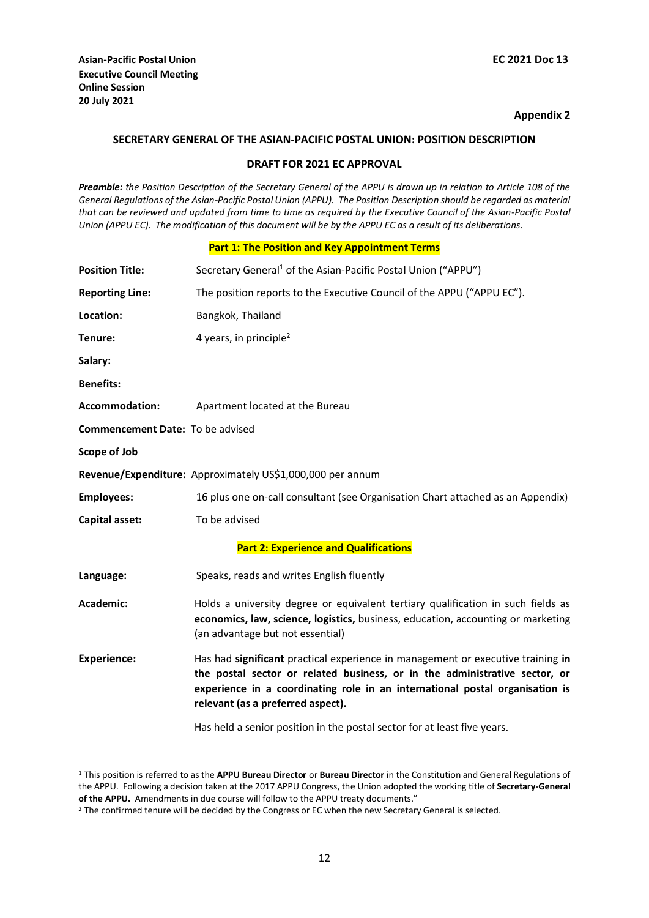1

### **Appendix 2**

### **SECRETARY GENERAL OF THE ASIAN-PACIFIC POSTAL UNION: POSITION DESCRIPTION**

## **DRAFT FOR 2021 EC APPROVAL**

*Preamble: the Position Description of the Secretary General of the APPU is drawn up in relation to Article 108 of the General Regulations of the Asian-Pacific Postal Union (APPU). The Position Description should be regarded as material that can be reviewed and updated from time to time as required by the Executive Council of the Asian-Pacific Postal Union (APPU EC). The modification of this document will be by the APPU EC as a result of its deliberations.*

### **Part 1: The Position and Key Appointment Terms**

| <b>Position Title:</b>                  | Secretary General <sup>1</sup> of the Asian-Pacific Postal Union ("APPU")                                                                                                                                                                                                          |
|-----------------------------------------|------------------------------------------------------------------------------------------------------------------------------------------------------------------------------------------------------------------------------------------------------------------------------------|
| <b>Reporting Line:</b>                  | The position reports to the Executive Council of the APPU ("APPU EC").                                                                                                                                                                                                             |
| Location:                               | Bangkok, Thailand                                                                                                                                                                                                                                                                  |
| Tenure:                                 | 4 years, in principle <sup>2</sup>                                                                                                                                                                                                                                                 |
| Salary:                                 |                                                                                                                                                                                                                                                                                    |
| <b>Benefits:</b>                        |                                                                                                                                                                                                                                                                                    |
| <b>Accommodation:</b>                   | Apartment located at the Bureau                                                                                                                                                                                                                                                    |
| <b>Commencement Date: To be advised</b> |                                                                                                                                                                                                                                                                                    |
| Scope of Job                            |                                                                                                                                                                                                                                                                                    |
|                                         | Revenue/Expenditure: Approximately US\$1,000,000 per annum                                                                                                                                                                                                                         |
| <b>Employees:</b>                       | 16 plus one on-call consultant (see Organisation Chart attached as an Appendix)                                                                                                                                                                                                    |
| Capital asset:                          | To be advised                                                                                                                                                                                                                                                                      |
|                                         | <b>Part 2: Experience and Qualifications</b>                                                                                                                                                                                                                                       |
| Language:                               | Speaks, reads and writes English fluently                                                                                                                                                                                                                                          |
| Academic:                               | Holds a university degree or equivalent tertiary qualification in such fields as<br>economics, law, science, logistics, business, education, accounting or marketing<br>(an advantage but not essential)                                                                           |
| <b>Experience:</b>                      | Has had significant practical experience in management or executive training in<br>the postal sector or related business, or in the administrative sector, or<br>experience in a coordinating role in an international postal organisation is<br>relevant (as a preferred aspect). |
|                                         | Has held a senior position in the postal sector for at least five years.                                                                                                                                                                                                           |

<sup>1</sup> This position is referred to as the **APPU Bureau Director** or **Bureau Director** in the Constitution and General Regulations of the APPU. Following a decision taken at the 2017 APPU Congress, the Union adopted the working title of **Secretary-General of the APPU.** Amendments in due course will follow to the APPU treaty documents."

<sup>&</sup>lt;sup>2</sup> The confirmed tenure will be decided by the Congress or EC when the new Secretary General is selected.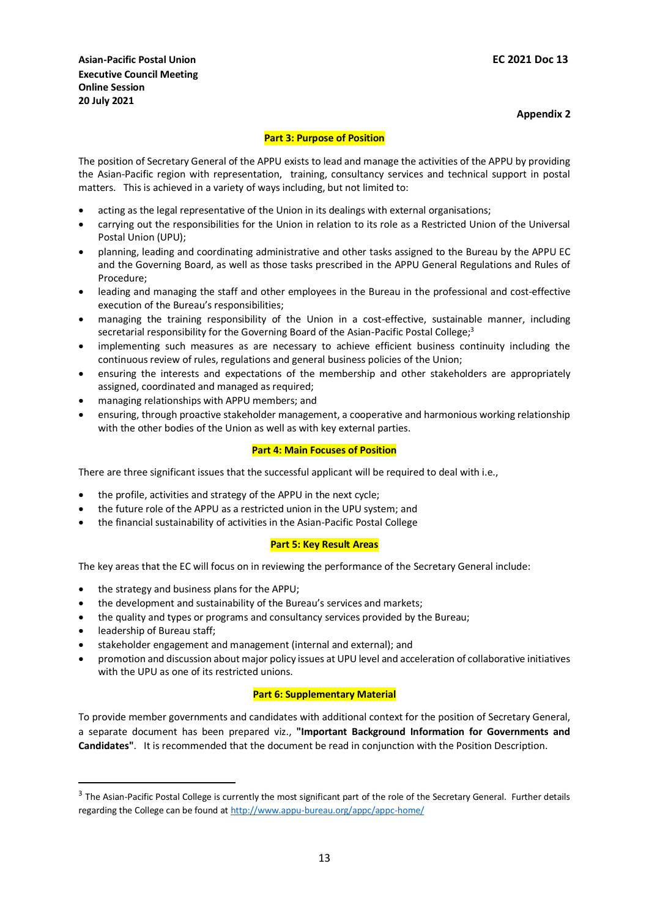### **Part 3: Purpose of Position**

The position of Secretary General of the APPU exists to lead and manage the activities of the APPU by providing the Asian-Pacific region with representation, training, consultancy services and technical support in postal matters. This is achieved in a variety of ways including, but not limited to:

- acting as the legal representative of the Union in its dealings with external organisations;
- carrying out the responsibilities for the Union in relation to its role as a Restricted Union of the Universal Postal Union (UPU);
- planning, leading and coordinating administrative and other tasks assigned to the Bureau by the APPU EC and the Governing Board, as well as those tasks prescribed in the APPU General Regulations and Rules of Procedure;
- leading and managing the staff and other employees in the Bureau in the professional and cost-effective execution of the Bureau's responsibilities;
- managing the training responsibility of the Union in a cost-effective, sustainable manner, including secretarial responsibility for the Governing Board of the Asian-Pacific Postal College;<sup>3</sup>
- implementing such measures as are necessary to achieve efficient business continuity including the continuous review of rules, regulations and general business policies of the Union;
- ensuring the interests and expectations of the membership and other stakeholders are appropriately assigned, coordinated and managed as required;
- managing relationships with APPU members; and
- ensuring, through proactive stakeholder management, a cooperative and harmonious working relationship with the other bodies of the Union as well as with key external parties.

### **Part 4: Main Focuses of Position**

There are three significant issues that the successful applicant will be required to deal with i.e.,

- the profile, activities and strategy of the APPU in the next cycle;
- the future role of the APPU as a restricted union in the UPU system; and
- the financial sustainability of activities in the Asian-Pacific Postal College

### **Part 5: Key Result Areas**

The key areas that the EC will focus on in reviewing the performance of the Secretary General include:

- the strategy and business plans for the APPU;
- the development and sustainability of the Bureau's services and markets;
- the quality and types or programs and consultancy services provided by the Bureau;
- leadership of Bureau staff;

1

- stakeholder engagement and management (internal and external); and
- promotion and discussion about major policy issues at UPU level and acceleration of collaborative initiatives with the UPU as one of its restricted unions.

### **Part 6: Supplementary Material**

To provide member governments and candidates with additional context for the position of Secretary General, a separate document has been prepared viz., **"Important Background Information for Governments and Candidates"**. It is recommended that the document be read in conjunction with the Position Description.

 $3$  The Asian-Pacific Postal College is currently the most significant part of the role of the Secretary General. Further details regarding the College can be found a[t http://www.appu-bureau.org/appc/appc-home/](http://www.appu-bureau.org/appc/appc-home/)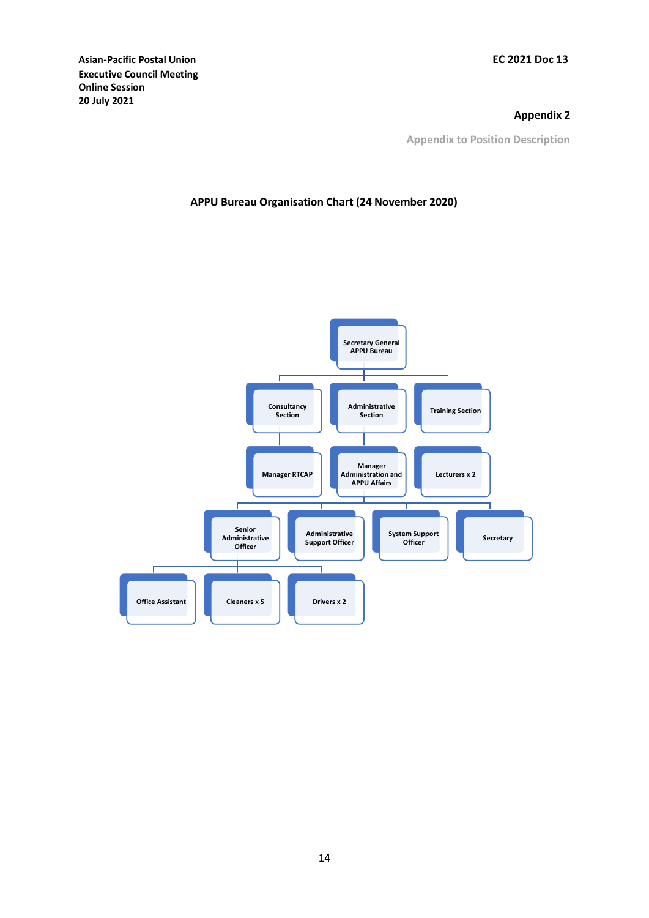## **Appendix 2**

**Appendix to Position Description**

## **APPU Bureau Organisation Chart (24 November 2020)**

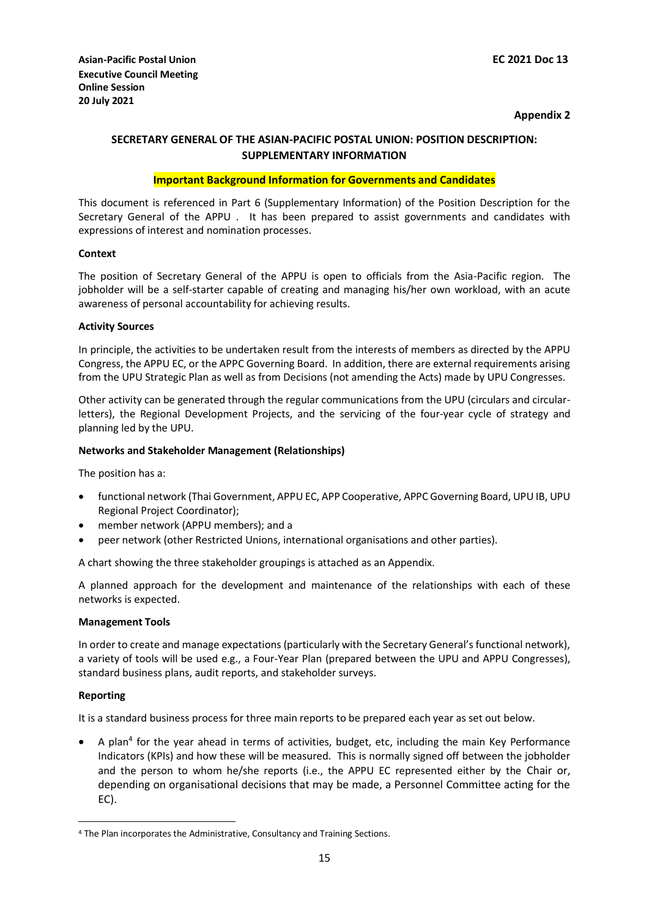## **SECRETARY GENERAL OF THE ASIAN-PACIFIC POSTAL UNION: POSITION DESCRIPTION: SUPPLEMENTARY INFORMATION**

### **Important Background Information for Governments and Candidates**

This document is referenced in Part 6 (Supplementary Information) of the Position Description for the Secretary General of the APPU . It has been prepared to assist governments and candidates with expressions of interest and nomination processes.

### **Context**

The position of Secretary General of the APPU is open to officials from the Asia-Pacific region. The jobholder will be a self-starter capable of creating and managing his/her own workload, with an acute awareness of personal accountability for achieving results.

### **Activity Sources**

In principle, the activities to be undertaken result from the interests of members as directed by the APPU Congress, the APPU EC, or the APPC Governing Board. In addition, there are external requirements arising from the UPU Strategic Plan as well as from Decisions (not amending the Acts) made by UPU Congresses.

Other activity can be generated through the regular communications from the UPU (circulars and circularletters), the Regional Development Projects, and the servicing of the four-year cycle of strategy and planning led by the UPU.

### **Networks and Stakeholder Management (Relationships)**

The position has a:

- functional network (Thai Government, APPU EC, APP Cooperative, APPC Governing Board, UPU IB, UPU Regional Project Coordinator);
- member network (APPU members); and a
- peer network (other Restricted Unions, international organisations and other parties).

A chart showing the three stakeholder groupings is attached as an Appendix.

A planned approach for the development and maintenance of the relationships with each of these networks is expected.

### **Management Tools**

In order to create and manage expectations (particularly with the Secretary General's functional network), a variety of tools will be used e.g., a Four-Year Plan (prepared between the UPU and APPU Congresses), standard business plans, audit reports, and stakeholder surveys.

### **Reporting**

1

It is a standard business process for three main reports to be prepared each year as set out below.

• A plan<sup>4</sup> for the year ahead in terms of activities, budget, etc, including the main Key Performance Indicators (KPIs) and how these will be measured. This is normally signed off between the jobholder and the person to whom he/she reports (i.e., the APPU EC represented either by the Chair or, depending on organisational decisions that may be made, a Personnel Committee acting for the EC).

<sup>4</sup> The Plan incorporates the Administrative, Consultancy and Training Sections.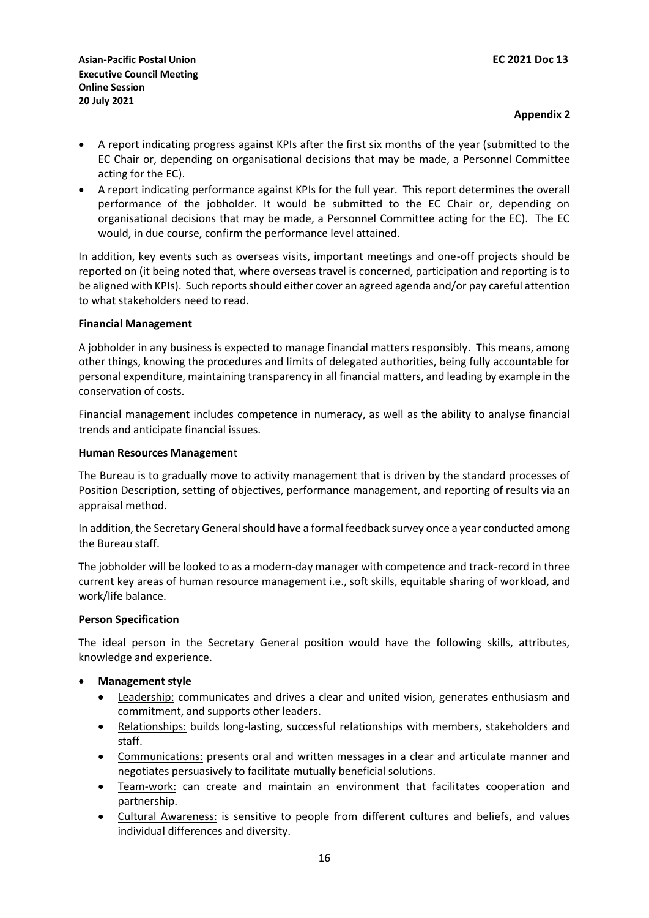- A report indicating progress against KPIs after the first six months of the year (submitted to the EC Chair or, depending on organisational decisions that may be made, a Personnel Committee acting for the EC).
- A report indicating performance against KPIs for the full year. This report determines the overall performance of the jobholder. It would be submitted to the EC Chair or, depending on organisational decisions that may be made, a Personnel Committee acting for the EC). The EC would, in due course, confirm the performance level attained.

In addition, key events such as overseas visits, important meetings and one-off projects should be reported on (it being noted that, where overseas travel is concerned, participation and reporting is to be aligned with KPIs). Such reports should either cover an agreed agenda and/or pay careful attention to what stakeholders need to read.

## **Financial Management**

A jobholder in any business is expected to manage financial matters responsibly. This means, among other things, knowing the procedures and limits of delegated authorities, being fully accountable for personal expenditure, maintaining transparency in all financial matters, and leading by example in the conservation of costs.

Financial management includes competence in numeracy, as well as the ability to analyse financial trends and anticipate financial issues.

## **Human Resources Managemen**t

The Bureau is to gradually move to activity management that is driven by the standard processes of Position Description, setting of objectives, performance management, and reporting of results via an appraisal method.

In addition, the Secretary General should have a formal feedback survey once a year conducted among the Bureau staff.

The jobholder will be looked to as a modern-day manager with competence and track-record in three current key areas of human resource management i.e., soft skills, equitable sharing of workload, and work/life balance.

## **Person Specification**

The ideal person in the Secretary General position would have the following skills, attributes, knowledge and experience.

- **Management style**
	- Leadership: communicates and drives a clear and united vision, generates enthusiasm and commitment, and supports other leaders.
	- Relationships: builds long-lasting, successful relationships with members, stakeholders and staff.
	- Communications: presents oral and written messages in a clear and articulate manner and negotiates persuasively to facilitate mutually beneficial solutions.
	- Team-work: can create and maintain an environment that facilitates cooperation and partnership.
	- Cultural Awareness: is sensitive to people from different cultures and beliefs, and values individual differences and diversity.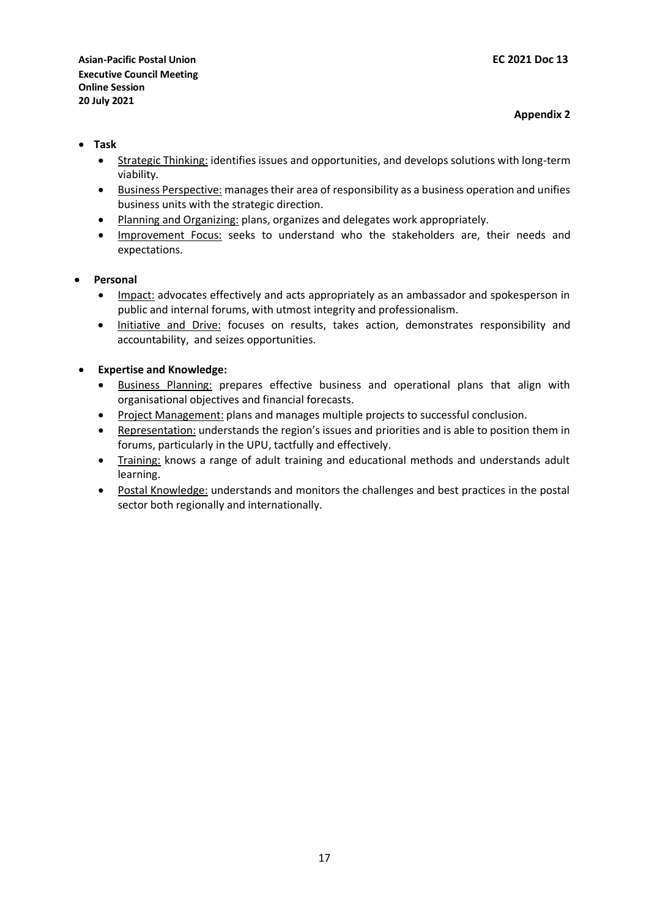- **Task**
	- Strategic Thinking: identifies issues and opportunities, and develops solutions with long-term viability.
	- Business Perspective: manages their area of responsibility as a business operation and unifies business units with the strategic direction.
	- Planning and Organizing: plans, organizes and delegates work appropriately.
	- Improvement Focus: seeks to understand who the stakeholders are, their needs and expectations.
- **Personal**
	- Impact: advocates effectively and acts appropriately as an ambassador and spokesperson in public and internal forums, with utmost integrity and professionalism.
	- Initiative and Drive: focuses on results, takes action, demonstrates responsibility and accountability, and seizes opportunities.

## **Expertise and Knowledge:**

- Business Planning: prepares effective business and operational plans that align with organisational objectives and financial forecasts.
- Project Management: plans and manages multiple projects to successful conclusion.
- Representation: understands the region's issues and priorities and is able to position them in forums, particularly in the UPU, tactfully and effectively.
- Training: knows a range of adult training and educational methods and understands adult learning.
- Postal Knowledge: understands and monitors the challenges and best practices in the postal sector both regionally and internationally.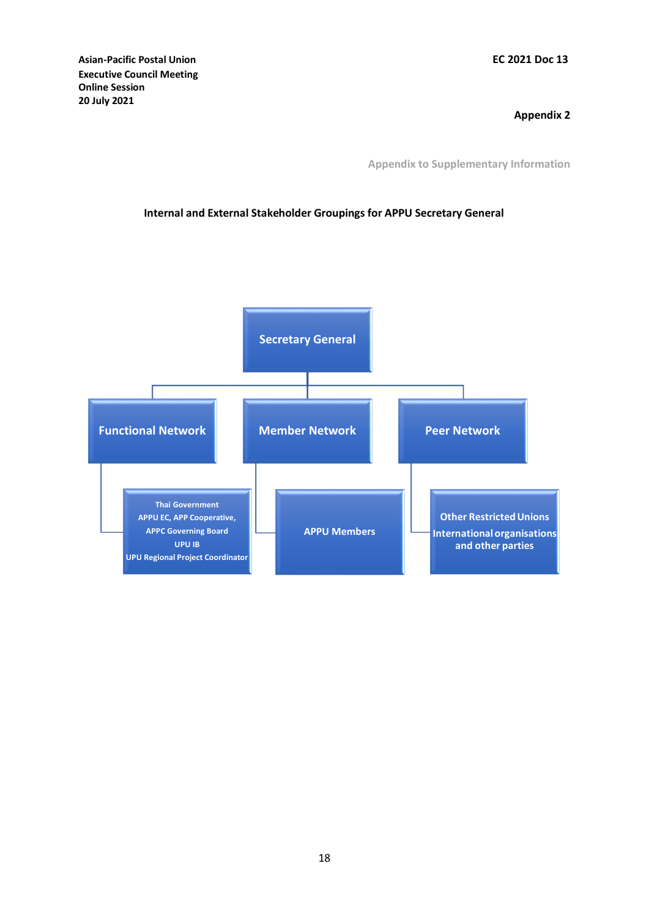**Appendix 2**

**Appendix to Supplementary Information**

# **Internal and External Stakeholder Groupings for APPU Secretary General**

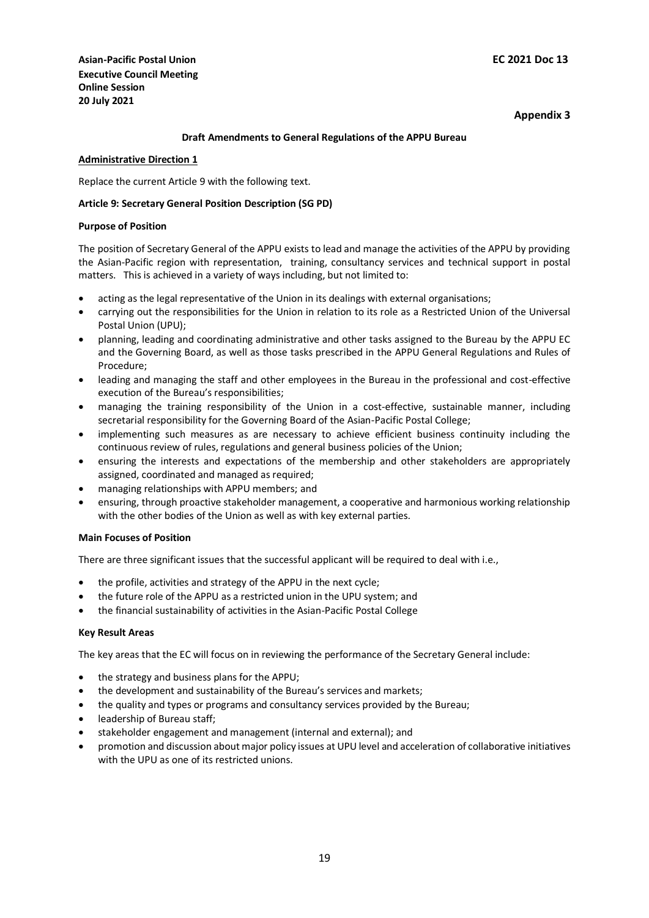### **Draft Amendments to General Regulations of the APPU Bureau**

#### **Administrative Direction 1**

Replace the current Article 9 with the following text.

### **Article 9: Secretary General Position Description (SG PD)**

#### **Purpose of Position**

The position of Secretary General of the APPU exists to lead and manage the activities of the APPU by providing the Asian-Pacific region with representation, training, consultancy services and technical support in postal matters. This is achieved in a variety of ways including, but not limited to:

- acting as the legal representative of the Union in its dealings with external organisations;
- carrying out the responsibilities for the Union in relation to its role as a Restricted Union of the Universal Postal Union (UPU);
- planning, leading and coordinating administrative and other tasks assigned to the Bureau by the APPU EC and the Governing Board, as well as those tasks prescribed in the APPU General Regulations and Rules of Procedure;
- leading and managing the staff and other employees in the Bureau in the professional and cost-effective execution of the Bureau's responsibilities;
- managing the training responsibility of the Union in a cost-effective, sustainable manner, including secretarial responsibility for the Governing Board of the Asian-Pacific Postal College;
- implementing such measures as are necessary to achieve efficient business continuity including the continuous review of rules, regulations and general business policies of the Union;
- ensuring the interests and expectations of the membership and other stakeholders are appropriately assigned, coordinated and managed as required;
- managing relationships with APPU members; and
- ensuring, through proactive stakeholder management, a cooperative and harmonious working relationship with the other bodies of the Union as well as with key external parties.

### **Main Focuses of Position**

There are three significant issues that the successful applicant will be required to deal with i.e.,

- the profile, activities and strategy of the APPU in the next cycle;
- the future role of the APPU as a restricted union in the UPU system; and
- the financial sustainability of activities in the Asian-Pacific Postal College

#### **Key Result Areas**

The key areas that the EC will focus on in reviewing the performance of the Secretary General include:

- the strategy and business plans for the APPU;
- the development and sustainability of the Bureau's services and markets;
- the quality and types or programs and consultancy services provided by the Bureau;
- leadership of Bureau staff;
- stakeholder engagement and management (internal and external); and
- promotion and discussion about major policy issues at UPU level and acceleration of collaborative initiatives with the UPU as one of its restricted unions.